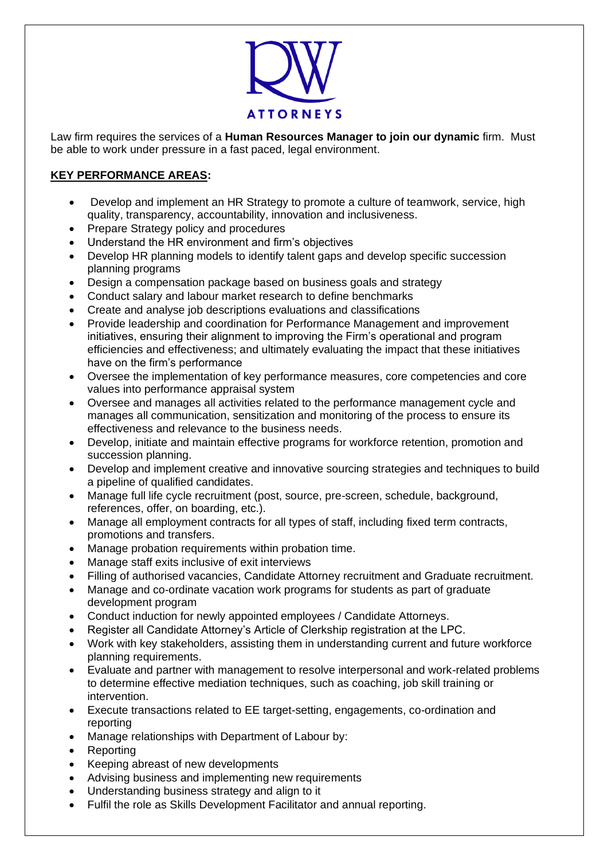

Law firm requires the services of a **Human Resources Manager to join our dynamic** firm. Must be able to work under pressure in a fast paced, legal environment.

## **KEY PERFORMANCE AREAS:**

- Develop and implement an HR Strategy to promote a culture of teamwork, service, high quality, transparency, accountability, innovation and inclusiveness.
- Prepare Strategy policy and procedures
- Understand the HR environment and firm's objectives
- Develop HR planning models to identify talent gaps and develop specific succession planning programs
- Design a compensation package based on business goals and strategy
- Conduct salary and labour market research to define benchmarks
- Create and analyse job descriptions evaluations and classifications
- Provide leadership and coordination for Performance Management and improvement initiatives, ensuring their alignment to improving the Firm's operational and program efficiencies and effectiveness; and ultimately evaluating the impact that these initiatives have on the firm's performance
- Oversee the implementation of key performance measures, core competencies and core values into performance appraisal system
- Oversee and manages all activities related to the performance management cycle and manages all communication, sensitization and monitoring of the process to ensure its effectiveness and relevance to the business needs.
- Develop, initiate and maintain effective programs for workforce retention, promotion and succession planning.
- Develop and implement creative and innovative sourcing strategies and techniques to build a pipeline of qualified candidates.
- Manage full life cycle recruitment (post, source, pre-screen, schedule, background, references, offer, on boarding, etc.).
- Manage all employment contracts for all types of staff, including fixed term contracts, promotions and transfers.
- Manage probation requirements within probation time.
- Manage staff exits inclusive of exit interviews
- Filling of authorised vacancies, Candidate Attorney recruitment and Graduate recruitment.
- Manage and co-ordinate vacation work programs for students as part of graduate development program
- Conduct induction for newly appointed employees / Candidate Attorneys.
- Register all Candidate Attorney's Article of Clerkship registration at the LPC.
- Work with key stakeholders, assisting them in understanding current and future workforce planning requirements.
- Evaluate and partner with management to resolve interpersonal and work-related problems to determine effective mediation techniques, such as coaching, job skill training or intervention.
- Execute transactions related to EE target-setting, engagements, co-ordination and reporting
- Manage relationships with Department of Labour by:
- Reporting
- Keeping abreast of new developments
- Advising business and implementing new requirements
- Understanding business strategy and align to it
- Fulfil the role as Skills Development Facilitator and annual reporting.